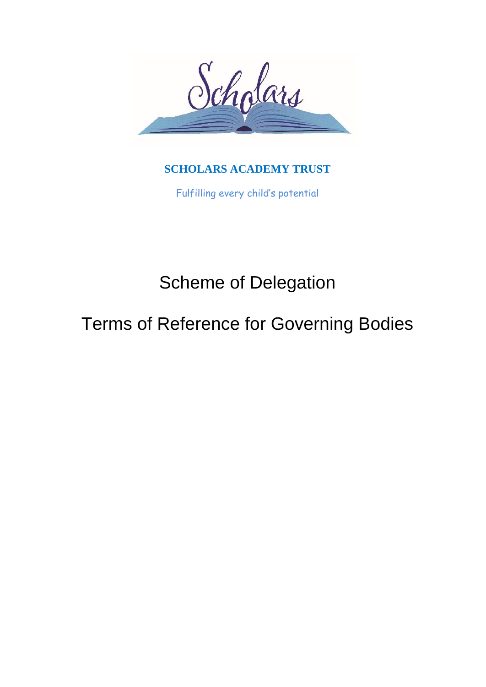

## **SCHOLARS ACADEMY TRUST**

Fulfilling every child's potential

# Scheme of Delegation

## Terms of Reference for Governing Bodies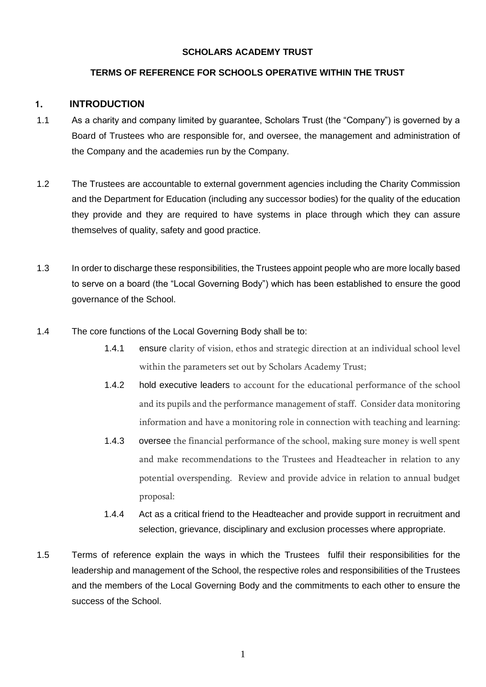### **SCHOLARS ACADEMY TRUST**

## **TERMS OF REFERENCE FOR SCHOOLS OPERATIVE WITHIN THE TRUST**

## **1. INTRODUCTION**

- 1.1 As a charity and company limited by guarantee, Scholars Trust (the "Company") is governed by a Board of Trustees who are responsible for, and oversee, the management and administration of the Company and the academies run by the Company.
- 1.2 The Trustees are accountable to external government agencies including the Charity Commission and the Department for Education (including any successor bodies) for the quality of the education they provide and they are required to have systems in place through which they can assure themselves of quality, safety and good practice.
- 1.3 In order to discharge these responsibilities, the Trustees appoint people who are more locally based to serve on a board (the "Local Governing Body") which has been established to ensure the good governance of the School.
- 1.4 The core functions of the Local Governing Body shall be to:
	- 1.4.1 ensure clarity of vision, ethos and strategic direction at an individual school level within the parameters set out by Scholars Academy Trust;
	- 1.4.2 hold executive leaders to account for the educational performance of the school and its pupils and the performance management of staff. Consider data monitoring information and have a monitoring role in connection with teaching and learning:
	- 1.4.3 oversee the financial performance of the school, making sure money is well spent and make recommendations to the Trustees and Headteacher in relation to any potential overspending. Review and provide advice in relation to annual budget proposal:
	- 1.4.4 Act as a critical friend to the Headteacher and provide support in recruitment and selection, grievance, disciplinary and exclusion processes where appropriate.
- 1.5 Terms of reference explain the ways in which the Trustees fulfil their responsibilities for the leadership and management of the School, the respective roles and responsibilities of the Trustees and the members of the Local Governing Body and the commitments to each other to ensure the success of the School.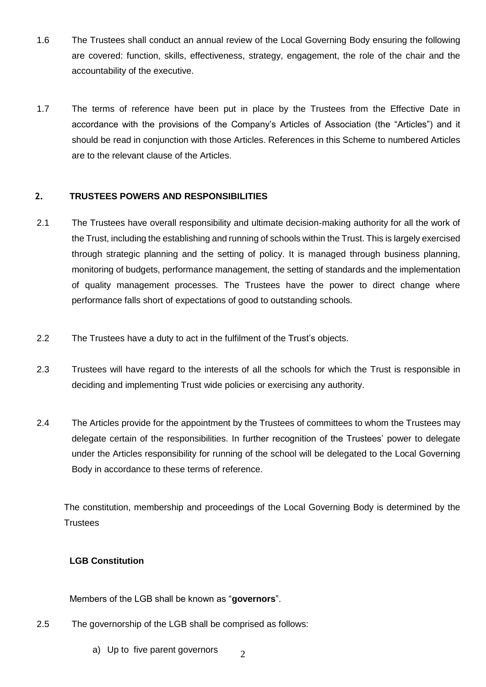- 1.6 The Trustees shall conduct an annual review of the Local Governing Body ensuring the following are covered: function, skills, effectiveness, strategy, engagement, the role of the chair and the accountability of the executive.
- 1.7 The terms of reference have been put in place by the Trustees from the Effective Date in accordance with the provisions of the Company's Articles of Association (the "Articles") and it should be read in conjunction with those Articles. References in this Scheme to numbered Articles are to the relevant clause of the Articles.

## **2. TRUSTEES POWERS AND RESPONSIBILITIES**

- 2.1 The Trustees have overall responsibility and ultimate decision-making authority for all the work of the Trust, including the establishing and running of schools within the Trust. This is largely exercised through strategic planning and the setting of policy. It is managed through business planning, monitoring of budgets, performance management, the setting of standards and the implementation of quality management processes. The Trustees have the power to direct change where performance falls short of expectations of good to outstanding schools.
- 2.2 The Trustees have a duty to act in the fulfilment of the Trust's objects.
- 2.3 Trustees will have regard to the interests of all the schools for which the Trust is responsible in deciding and implementing Trust wide policies or exercising any authority.
- 2.4 The Articles provide for the appointment by the Trustees of committees to whom the Trustees may delegate certain of the responsibilities. In further recognition of the Trustees' power to delegate under the Articles responsibility for running of the school will be delegated to the Local Governing Body in accordance to these terms of reference.

The constitution, membership and proceedings of the Local Governing Body is determined by the **Trustees** 

2

## **LGB Constitution**

Members of the LGB shall be known as "**governors**".

- 2.5 The governorship of the LGB shall be comprised as follows:
	- a) Up to five parent governors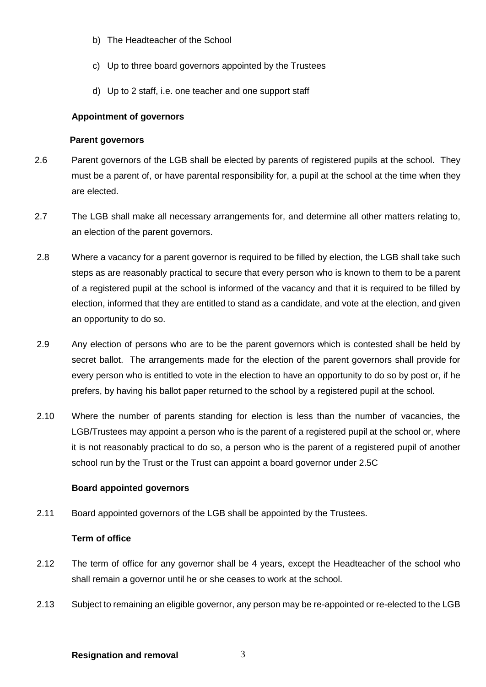- b) The Headteacher of the School
- c) Up to three board governors appointed by the Trustees
- d) Up to 2 staff, i.e. one teacher and one support staff

### **Appointment of governors**

#### **Parent governors**

- 2.6 Parent governors of the LGB shall be elected by parents of registered pupils at the school. They must be a parent of, or have parental responsibility for, a pupil at the school at the time when they are elected.
- 2.7 The LGB shall make all necessary arrangements for, and determine all other matters relating to, an election of the parent governors.
- 2.8 Where a vacancy for a parent governor is required to be filled by election, the LGB shall take such steps as are reasonably practical to secure that every person who is known to them to be a parent of a registered pupil at the school is informed of the vacancy and that it is required to be filled by election, informed that they are entitled to stand as a candidate, and vote at the election, and given an opportunity to do so.
- 2.9 Any election of persons who are to be the parent governors which is contested shall be held by secret ballot. The arrangements made for the election of the parent governors shall provide for every person who is entitled to vote in the election to have an opportunity to do so by post or, if he prefers, by having his ballot paper returned to the school by a registered pupil at the school.
- 2.10 Where the number of parents standing for election is less than the number of vacancies, the LGB/Trustees may appoint a person who is the parent of a registered pupil at the school or, where it is not reasonably practical to do so, a person who is the parent of a registered pupil of another school run by the Trust or the Trust can appoint a board governor under 2.5C

#### **Board appointed governors**

2.11 Board appointed governors of the LGB shall be appointed by the Trustees.

#### **Term of office**

- 2.12 The term of office for any governor shall be 4 years, except the Headteacher of the school who shall remain a governor until he or she ceases to work at the school.
- 2.13 Subject to remaining an eligible governor, any person may be re-appointed or re-elected to the LGB

3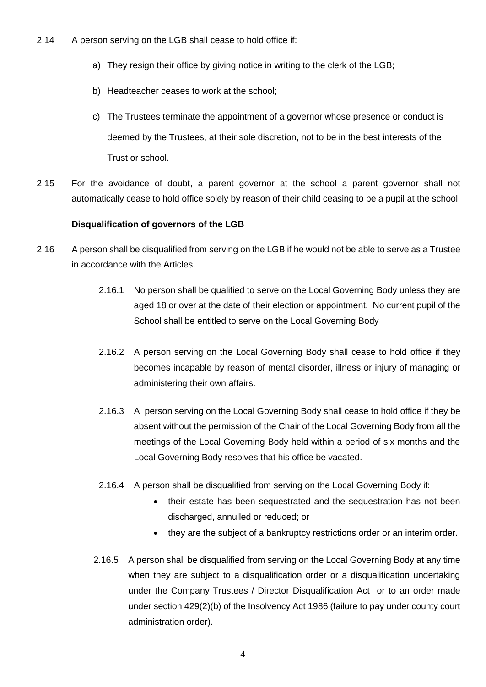- 2.14 A person serving on the LGB shall cease to hold office if:
	- a) They resign their office by giving notice in writing to the clerk of the LGB;
	- b) Headteacher ceases to work at the school;
	- c) The Trustees terminate the appointment of a governor whose presence or conduct is deemed by the Trustees, at their sole discretion, not to be in the best interests of the Trust or school.
- 2.15 For the avoidance of doubt, a parent governor at the school a parent governor shall not automatically cease to hold office solely by reason of their child ceasing to be a pupil at the school.

#### **Disqualification of governors of the LGB**

- 2.16 A person shall be disqualified from serving on the LGB if he would not be able to serve as a Trustee in accordance with the Articles.
	- 2.16.1 No person shall be qualified to serve on the Local Governing Body unless they are aged 18 or over at the date of their election or appointment. No current pupil of the School shall be entitled to serve on the Local Governing Body
	- 2.16.2 A person serving on the Local Governing Body shall cease to hold office if they becomes incapable by reason of mental disorder, illness or injury of managing or administering their own affairs.
	- 2.16.3 A person serving on the Local Governing Body shall cease to hold office if they be absent without the permission of the Chair of the Local Governing Body from all the meetings of the Local Governing Body held within a period of six months and the Local Governing Body resolves that his office be vacated.
	- 2.16.4 A person shall be disqualified from serving on the Local Governing Body if:
		- their estate has been sequestrated and the sequestration has not been discharged, annulled or reduced; or
		- they are the subject of a bankruptcy restrictions order or an interim order.
	- 2.16.5 A person shall be disqualified from serving on the Local Governing Body at any time when they are subject to a disqualification order or a disqualification undertaking under the Company Trustees / Director Disqualification Act or to an order made under section 429(2)(b) of the Insolvency Act 1986 (failure to pay under county court administration order).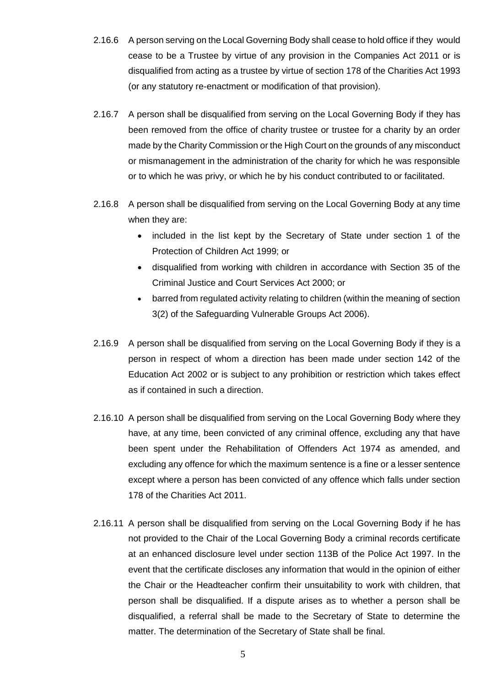- 2.16.6 A person serving on the Local Governing Body shall cease to hold office if they would cease to be a Trustee by virtue of any provision in the Companies Act 2011 or is disqualified from acting as a trustee by virtue of section 178 of the Charities Act 1993 (or any statutory re-enactment or modification of that provision).
- 2.16.7 A person shall be disqualified from serving on the Local Governing Body if they has been removed from the office of charity trustee or trustee for a charity by an order made by the Charity Commission or the High Court on the grounds of any misconduct or mismanagement in the administration of the charity for which he was responsible or to which he was privy, or which he by his conduct contributed to or facilitated.
- 2.16.8 A person shall be disqualified from serving on the Local Governing Body at any time when they are:
	- included in the list kept by the Secretary of State under section 1 of the Protection of Children Act 1999; or
	- disqualified from working with children in accordance with Section 35 of the Criminal Justice and Court Services Act 2000; or
	- barred from regulated activity relating to children (within the meaning of section 3(2) of the Safeguarding Vulnerable Groups Act 2006).
- 2.16.9 A person shall be disqualified from serving on the Local Governing Body if they is a person in respect of whom a direction has been made under section 142 of the Education Act 2002 or is subject to any prohibition or restriction which takes effect as if contained in such a direction.
- 2.16.10 A person shall be disqualified from serving on the Local Governing Body where they have, at any time, been convicted of any criminal offence, excluding any that have been spent under the Rehabilitation of Offenders Act 1974 as amended, and excluding any offence for which the maximum sentence is a fine or a lesser sentence except where a person has been convicted of any offence which falls under section 178 of the Charities Act 2011.
- 2.16.11 A person shall be disqualified from serving on the Local Governing Body if he has not provided to the Chair of the Local Governing Body a criminal records certificate at an enhanced disclosure level under section 113B of the Police Act 1997. In the event that the certificate discloses any information that would in the opinion of either the Chair or the Headteacher confirm their unsuitability to work with children, that person shall be disqualified. If a dispute arises as to whether a person shall be disqualified, a referral shall be made to the Secretary of State to determine the matter. The determination of the Secretary of State shall be final.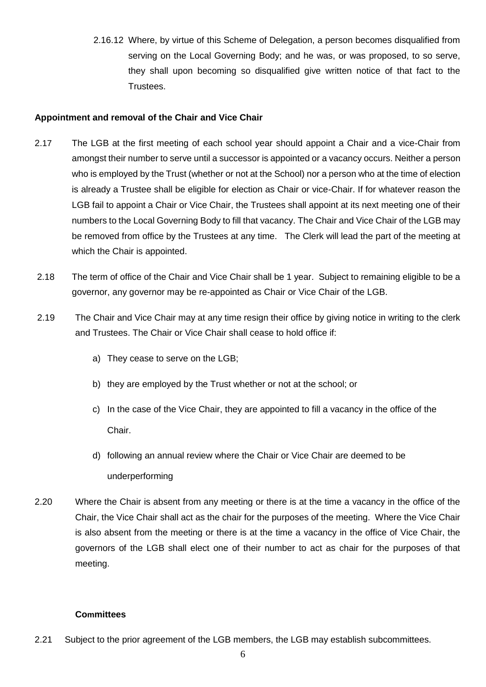2.16.12 Where, by virtue of this Scheme of Delegation, a person becomes disqualified from serving on the Local Governing Body; and he was, or was proposed, to so serve, they shall upon becoming so disqualified give written notice of that fact to the Trustees.

## **Appointment and removal of the Chair and Vice Chair**

- 2.17 The LGB at the first meeting of each school year should appoint a Chair and a vice-Chair from amongst their number to serve until a successor is appointed or a vacancy occurs. Neither a person who is employed by the Trust (whether or not at the School) nor a person who at the time of election is already a Trustee shall be eligible for election as Chair or vice-Chair. If for whatever reason the LGB fail to appoint a Chair or Vice Chair, the Trustees shall appoint at its next meeting one of their numbers to the Local Governing Body to fill that vacancy. The Chair and Vice Chair of the LGB may be removed from office by the Trustees at any time. The Clerk will lead the part of the meeting at which the Chair is appointed.
- 2.18 The term of office of the Chair and Vice Chair shall be 1 year. Subject to remaining eligible to be a governor, any governor may be re-appointed as Chair or Vice Chair of the LGB.
- 2.19 The Chair and Vice Chair may at any time resign their office by giving notice in writing to the clerk and Trustees. The Chair or Vice Chair shall cease to hold office if:
	- a) They cease to serve on the LGB;
	- b) they are employed by the Trust whether or not at the school; or
	- c) In the case of the Vice Chair, they are appointed to fill a vacancy in the office of the Chair.
	- d) following an annual review where the Chair or Vice Chair are deemed to be underperforming
- 2.20 Where the Chair is absent from any meeting or there is at the time a vacancy in the office of the Chair, the Vice Chair shall act as the chair for the purposes of the meeting. Where the Vice Chair is also absent from the meeting or there is at the time a vacancy in the office of Vice Chair, the governors of the LGB shall elect one of their number to act as chair for the purposes of that meeting.

#### **Committees**

2.21 Subject to the prior agreement of the LGB members, the LGB may establish subcommittees.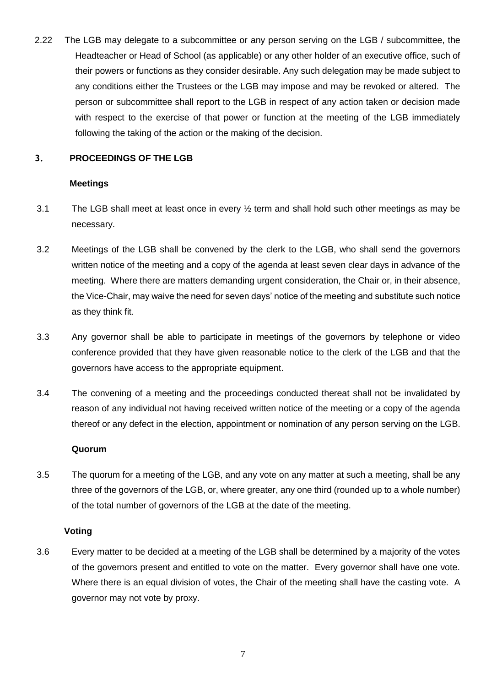2.22 The LGB may delegate to a subcommittee or any person serving on the LGB / subcommittee, the Headteacher or Head of School (as applicable) or any other holder of an executive office, such of their powers or functions as they consider desirable. Any such delegation may be made subject to any conditions either the Trustees or the LGB may impose and may be revoked or altered. The person or subcommittee shall report to the LGB in respect of any action taken or decision made with respect to the exercise of that power or function at the meeting of the LGB immediately following the taking of the action or the making of the decision.

## **3. PROCEEDINGS OF THE LGB**

#### **Meetings**

- 3.1 The LGB shall meet at least once in every ½ term and shall hold such other meetings as may be necessary.
- 3.2 Meetings of the LGB shall be convened by the clerk to the LGB, who shall send the governors written notice of the meeting and a copy of the agenda at least seven clear days in advance of the meeting. Where there are matters demanding urgent consideration, the Chair or, in their absence, the Vice-Chair, may waive the need for seven days' notice of the meeting and substitute such notice as they think fit.
- 3.3 Any governor shall be able to participate in meetings of the governors by telephone or video conference provided that they have given reasonable notice to the clerk of the LGB and that the governors have access to the appropriate equipment.
- 3.4 The convening of a meeting and the proceedings conducted thereat shall not be invalidated by reason of any individual not having received written notice of the meeting or a copy of the agenda thereof or any defect in the election, appointment or nomination of any person serving on the LGB.

#### **Quorum**

3.5 The quorum for a meeting of the LGB, and any vote on any matter at such a meeting, shall be any three of the governors of the LGB, or, where greater, any one third (rounded up to a whole number) of the total number of governors of the LGB at the date of the meeting.

#### **Voting**

3.6 Every matter to be decided at a meeting of the LGB shall be determined by a majority of the votes of the governors present and entitled to vote on the matter. Every governor shall have one vote. Where there is an equal division of votes, the Chair of the meeting shall have the casting vote. A governor may not vote by proxy.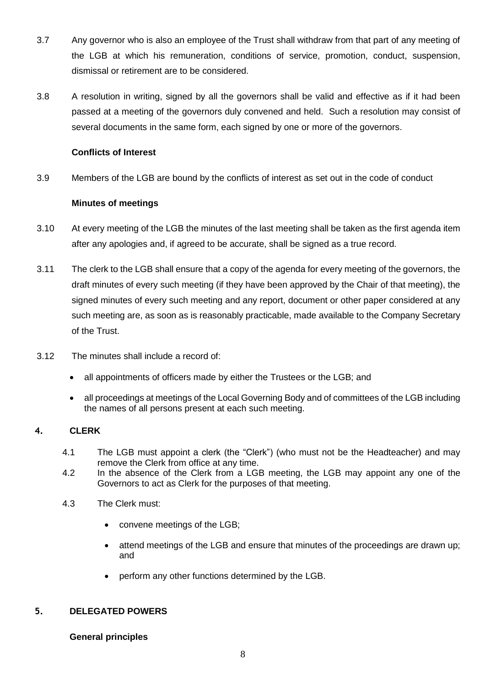- 3.7 Any governor who is also an employee of the Trust shall withdraw from that part of any meeting of the LGB at which his remuneration, conditions of service, promotion, conduct, suspension, dismissal or retirement are to be considered.
- 3.8 A resolution in writing, signed by all the governors shall be valid and effective as if it had been passed at a meeting of the governors duly convened and held. Such a resolution may consist of several documents in the same form, each signed by one or more of the governors.

### **Conflicts of Interest**

3.9 Members of the LGB are bound by the conflicts of interest as set out in the code of conduct

#### **Minutes of meetings**

- 3.10 At every meeting of the LGB the minutes of the last meeting shall be taken as the first agenda item after any apologies and, if agreed to be accurate, shall be signed as a true record.
- 3.11 The clerk to the LGB shall ensure that a copy of the agenda for every meeting of the governors, the draft minutes of every such meeting (if they have been approved by the Chair of that meeting), the signed minutes of every such meeting and any report, document or other paper considered at any such meeting are, as soon as is reasonably practicable, made available to the Company Secretary of the Trust.
- 3.12 The minutes shall include a record of:
	- all appointments of officers made by either the Trustees or the LGB; and
	- all proceedings at meetings of the Local Governing Body and of committees of the LGB including the names of all persons present at each such meeting.

## **4. CLERK**

- 4.1 The LGB must appoint a clerk (the "Clerk") (who must not be the Headteacher) and may remove the Clerk from office at any time.
- 4.2 In the absence of the Clerk from a LGB meeting, the LGB may appoint any one of the Governors to act as Clerk for the purposes of that meeting.
- 4.3 The Clerk must:
	- convene meetings of the LGB;
	- attend meetings of the LGB and ensure that minutes of the proceedings are drawn up; and
	- perform any other functions determined by the LGB.

#### **5. DELEGATED POWERS**

#### **General principles**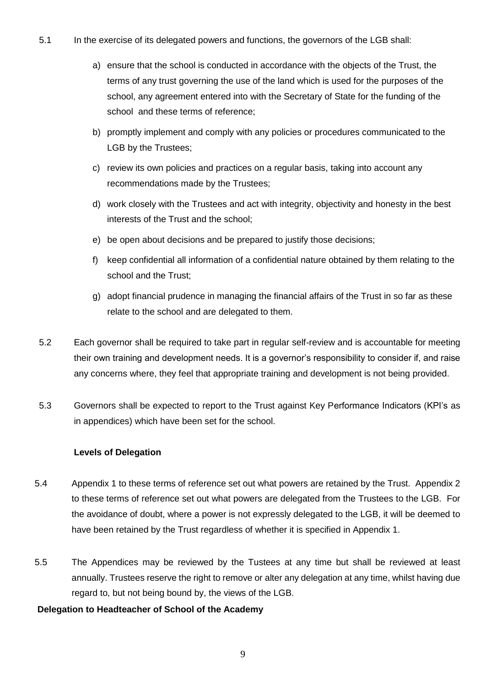- 5.1 In the exercise of its delegated powers and functions, the governors of the LGB shall:
	- a) ensure that the school is conducted in accordance with the objects of the Trust, the terms of any trust governing the use of the land which is used for the purposes of the school, any agreement entered into with the Secretary of State for the funding of the school and these terms of reference;
	- b) promptly implement and comply with any policies or procedures communicated to the LGB by the Trustees;
	- c) review its own policies and practices on a regular basis, taking into account any recommendations made by the Trustees;
	- d) work closely with the Trustees and act with integrity, objectivity and honesty in the best interests of the Trust and the school;
	- e) be open about decisions and be prepared to justify those decisions;
	- f) keep confidential all information of a confidential nature obtained by them relating to the school and the Trust;
	- g) adopt financial prudence in managing the financial affairs of the Trust in so far as these relate to the school and are delegated to them.
- 5.2 Each governor shall be required to take part in regular self-review and is accountable for meeting their own training and development needs. It is a governor's responsibility to consider if, and raise any concerns where, they feel that appropriate training and development is not being provided.
- 5.3 Governors shall be expected to report to the Trust against Key Performance Indicators (KPI's as in appendices) which have been set for the school.

#### **Levels of Delegation**

- 5.4 Appendix 1 to these terms of reference set out what powers are retained by the Trust. Appendix 2 to these terms of reference set out what powers are delegated from the Trustees to the LGB. For the avoidance of doubt, where a power is not expressly delegated to the LGB, it will be deemed to have been retained by the Trust regardless of whether it is specified in Appendix 1.
- 5.5 The Appendices may be reviewed by the Tustees at any time but shall be reviewed at least annually. Trustees reserve the right to remove or alter any delegation at any time, whilst having due regard to, but not being bound by, the views of the LGB.

#### **Delegation to Headteacher of School of the Academy**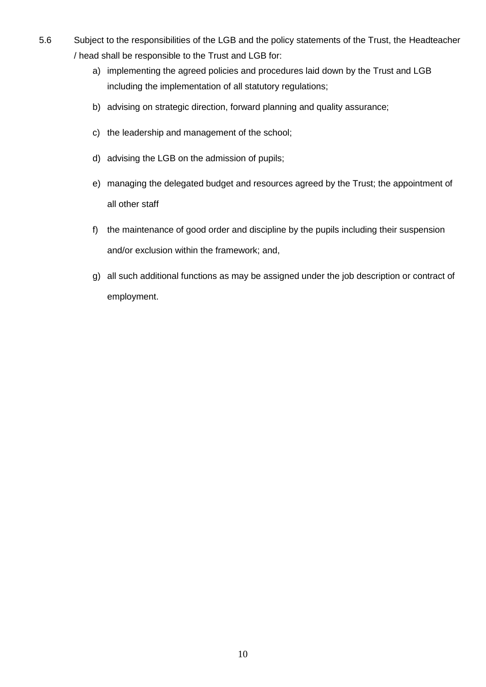- 5.6 Subject to the responsibilities of the LGB and the policy statements of the Trust, the Headteacher / head shall be responsible to the Trust and LGB for:
	- a) implementing the agreed policies and procedures laid down by the Trust and LGB including the implementation of all statutory regulations;
	- b) advising on strategic direction, forward planning and quality assurance;
	- c) the leadership and management of the school;
	- d) advising the LGB on the admission of pupils;
	- e) managing the delegated budget and resources agreed by the Trust; the appointment of all other staff
	- f) the maintenance of good order and discipline by the pupils including their suspension and/or exclusion within the framework; and,
	- g) all such additional functions as may be assigned under the job description or contract of employment.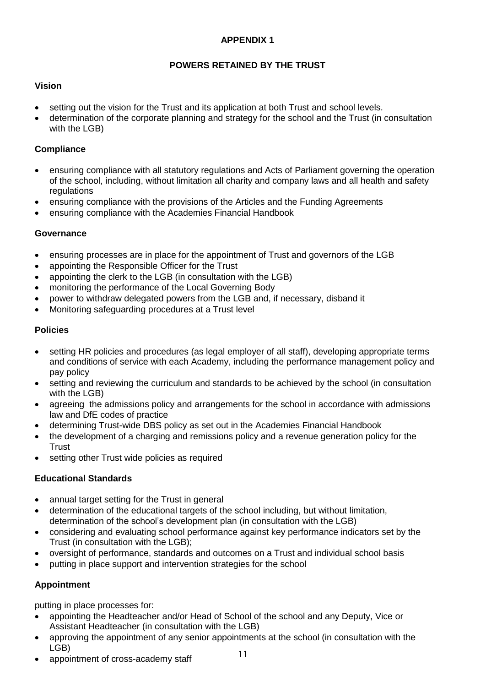## **APPENDIX 1**

## **POWERS RETAINED BY THE TRUST**

## **Vision**

- setting out the vision for the Trust and its application at both Trust and school levels.
- determination of the corporate planning and strategy for the school and the Trust (in consultation with the LGB)

### **Compliance**

- ensuring compliance with all statutory regulations and Acts of Parliament governing the operation of the school, including, without limitation all charity and company laws and all health and safety regulations
- ensuring compliance with the provisions of the Articles and the Funding Agreements
- ensuring compliance with the Academies Financial Handbook

## **Governance**

- ensuring processes are in place for the appointment of Trust and governors of the LGB
- appointing the Responsible Officer for the Trust
- appointing the clerk to the LGB (in consultation with the LGB)
- monitoring the performance of the Local Governing Body
- power to withdraw delegated powers from the LGB and, if necessary, disband it
- Monitoring safeguarding procedures at a Trust level

#### **Policies**

- setting HR policies and procedures (as legal employer of all staff), developing appropriate terms and conditions of service with each Academy, including the performance management policy and pay policy
- setting and reviewing the curriculum and standards to be achieved by the school (in consultation with the LGB)
- agreeing the admissions policy and arrangements for the school in accordance with admissions law and DfE codes of practice
- determining Trust-wide DBS policy as set out in the Academies Financial Handbook
- the development of a charging and remissions policy and a revenue generation policy for the **Trust**
- setting other Trust wide policies as required

## **Educational Standards**

- annual target setting for the Trust in general
- determination of the educational targets of the school including, but without limitation, determination of the school's development plan (in consultation with the LGB)
- considering and evaluating school performance against key performance indicators set by the Trust (in consultation with the LGB);
- oversight of performance, standards and outcomes on a Trust and individual school basis
- putting in place support and intervention strategies for the school

## **Appointment**

putting in place processes for:

- appointing the Headteacher and/or Head of School of the school and any Deputy, Vice or Assistant Headteacher (in consultation with the LGB)
- approving the appointment of any senior appointments at the school (in consultation with the LGB)
- appointment of cross-academy staff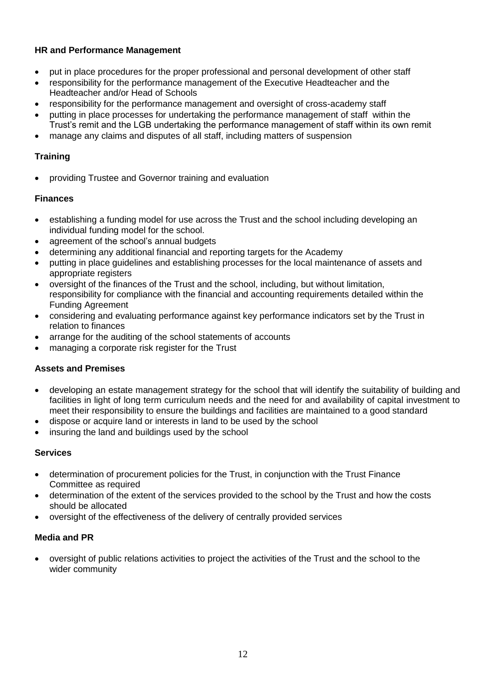## **HR and Performance Management**

- put in place procedures for the proper professional and personal development of other staff
- responsibility for the performance management of the Executive Headteacher and the Headteacher and/or Head of Schools
- responsibility for the performance management and oversight of cross-academy staff
- putting in place processes for undertaking the performance management of staff within the Trust's remit and the LGB undertaking the performance management of staff within its own remit
- manage any claims and disputes of all staff, including matters of suspension

## **Training**

• providing Trustee and Governor training and evaluation

## **Finances**

- establishing a funding model for use across the Trust and the school including developing an individual funding model for the school.
- agreement of the school's annual budgets
- determining any additional financial and reporting targets for the Academy
- putting in place guidelines and establishing processes for the local maintenance of assets and appropriate registers
- oversight of the finances of the Trust and the school, including, but without limitation, responsibility for compliance with the financial and accounting requirements detailed within the Funding Agreement
- considering and evaluating performance against key performance indicators set by the Trust in relation to finances
- arrange for the auditing of the school statements of accounts
- managing a corporate risk register for the Trust

## **Assets and Premises**

- developing an estate management strategy for the school that will identify the suitability of building and facilities in light of long term curriculum needs and the need for and availability of capital investment to meet their responsibility to ensure the buildings and facilities are maintained to a good standard
- dispose or acquire land or interests in land to be used by the school
- insuring the land and buildings used by the school

#### **Services**

- determination of procurement policies for the Trust, in conjunction with the Trust Finance Committee as required
- determination of the extent of the services provided to the school by the Trust and how the costs should be allocated
- oversight of the effectiveness of the delivery of centrally provided services

#### **Media and PR**

• oversight of public relations activities to project the activities of the Trust and the school to the wider community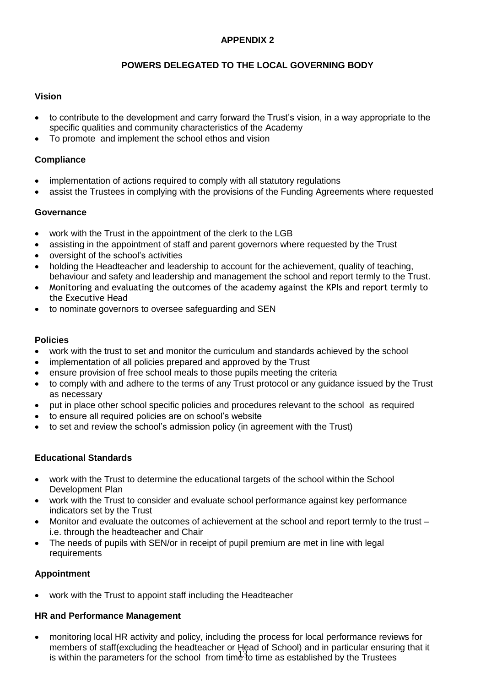## **APPENDIX 2**

## **POWERS DELEGATED TO THE LOCAL GOVERNING BODY**

## **Vision**

- to contribute to the development and carry forward the Trust's vision, in a way appropriate to the specific qualities and community characteristics of the Academy
- To promote and implement the school ethos and vision

## **Compliance**

- implementation of actions required to comply with all statutory regulations
- assist the Trustees in complying with the provisions of the Funding Agreements where requested

## **Governance**

- work with the Trust in the appointment of the clerk to the LGB
- assisting in the appointment of staff and parent governors where requested by the Trust
- oversight of the school's activities
- holding the Headteacher and leadership to account for the achievement, quality of teaching, behaviour and safety and leadership and management the school and report termly to the Trust.
- Monitoring and evaluating the outcomes of the academy against the KPIs and report termly to the Executive Head
- to nominate governors to oversee safeguarding and SEN

### **Policies**

- work with the trust to set and monitor the curriculum and standards achieved by the school
- implementation of all policies prepared and approved by the Trust
- ensure provision of free school meals to those pupils meeting the criteria
- to comply with and adhere to the terms of any Trust protocol or any guidance issued by the Trust as necessary
- put in place other school specific policies and procedures relevant to the school as required
- to ensure all required policies are on school's website
- to set and review the school's admission policy (in agreement with the Trust)

## **Educational Standards**

- work with the Trust to determine the educational targets of the school within the School Development Plan
- work with the Trust to consider and evaluate school performance against key performance indicators set by the Trust
- Monitor and evaluate the outcomes of achievement at the school and report termly to the trust i.e. through the headteacher and Chair
- The needs of pupils with SEN/or in receipt of pupil premium are met in line with legal requirements

## **Appointment**

• work with the Trust to appoint staff including the Headteacher

#### **HR and Performance Management**

13 is within the parameters for the school from time to time as established by the Trustees• monitoring local HR activity and policy, including the process for local performance reviews for members of staff(excluding the headteacher or Head of School) and in particular ensuring that it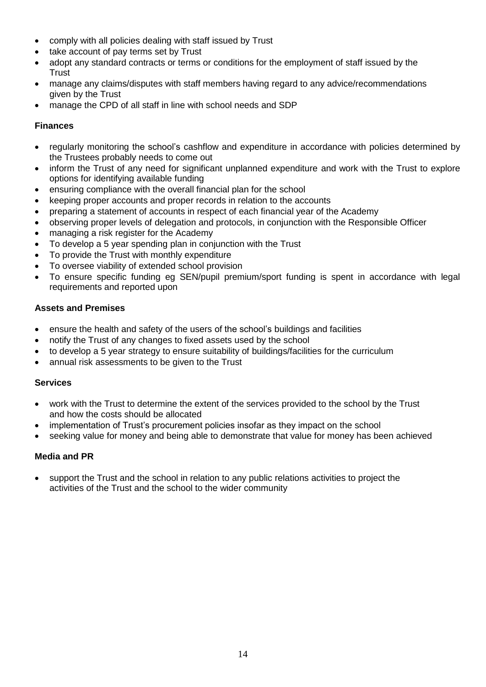- comply with all policies dealing with staff issued by Trust
- take account of pay terms set by Trust
- adopt any standard contracts or terms or conditions for the employment of staff issued by the **Trust**
- manage any claims/disputes with staff members having regard to any advice/recommendations given by the Trust
- manage the CPD of all staff in line with school needs and SDP

### **Finances**

- regularly monitoring the school's cashflow and expenditure in accordance with policies determined by the Trustees probably needs to come out
- inform the Trust of any need for significant unplanned expenditure and work with the Trust to explore options for identifying available funding
- ensuring compliance with the overall financial plan for the school
- keeping proper accounts and proper records in relation to the accounts
- preparing a statement of accounts in respect of each financial year of the Academy
- observing proper levels of delegation and protocols, in conjunction with the Responsible Officer
- managing a risk register for the Academy
- To develop a 5 year spending plan in conjunction with the Trust
- To provide the Trust with monthly expenditure
- To oversee viability of extended school provision
- To ensure specific funding eg SEN/pupil premium/sport funding is spent in accordance with legal requirements and reported upon

## **Assets and Premises**

- ensure the health and safety of the users of the school's buildings and facilities
- notify the Trust of any changes to fixed assets used by the school
- to develop a 5 year strategy to ensure suitability of buildings/facilities for the curriculum
- annual risk assessments to be given to the Trust

#### **Services**

- work with the Trust to determine the extent of the services provided to the school by the Trust and how the costs should be allocated
- implementation of Trust's procurement policies insofar as they impact on the school
- seeking value for money and being able to demonstrate that value for money has been achieved

## **Media and PR**

• support the Trust and the school in relation to any public relations activities to project the activities of the Trust and the school to the wider community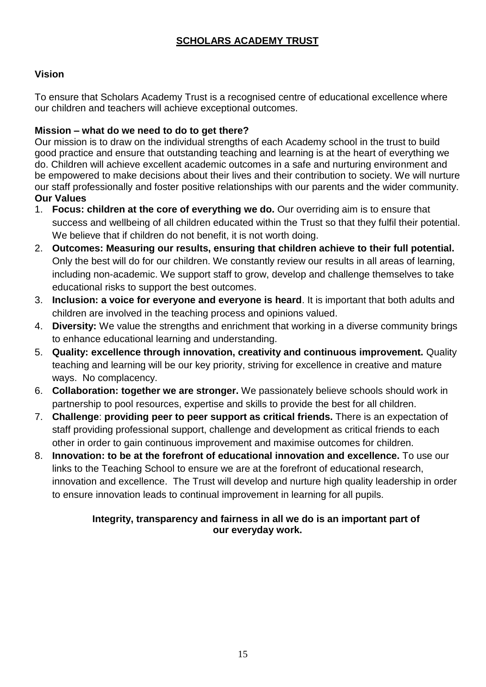## **SCHOLARS ACADEMY TRUST**

## **Vision**

To ensure that Scholars Academy Trust is a recognised centre of educational excellence where our children and teachers will achieve exceptional outcomes.

## **Mission – what do we need to do to get there?**

Our mission is to draw on the individual strengths of each Academy school in the trust to build good practice and ensure that outstanding teaching and learning is at the heart of everything we do. Children will achieve excellent academic outcomes in a safe and nurturing environment and be empowered to make decisions about their lives and their contribution to society. We will nurture our staff professionally and foster positive relationships with our parents and the wider community. **Our Values**

- 1. **Focus: children at the core of everything we do.** Our overriding aim is to ensure that success and wellbeing of all children educated within the Trust so that they fulfil their potential. We believe that if children do not benefit, it is not worth doing.
- 2. **Outcomes: Measuring our results, ensuring that children achieve to their full potential.** Only the best will do for our children. We constantly review our results in all areas of learning, including non-academic. We support staff to grow, develop and challenge themselves to take educational risks to support the best outcomes.
- 3. **Inclusion: a voice for everyone and everyone is heard**. It is important that both adults and children are involved in the teaching process and opinions valued.
- 4. **Diversity:** We value the strengths and enrichment that working in a diverse community brings to enhance educational learning and understanding.
- 5. **Quality: excellence through innovation, creativity and continuous improvement.** Quality teaching and learning will be our key priority, striving for excellence in creative and mature ways. No complacency.
- 6. **Collaboration: together we are stronger.** We passionately believe schools should work in partnership to pool resources, expertise and skills to provide the best for all children.
- 7. **Challenge**: **providing peer to peer support as critical friends.** There is an expectation of staff providing professional support, challenge and development as critical friends to each other in order to gain continuous improvement and maximise outcomes for children.
- 8. **Innovation: to be at the forefront of educational innovation and excellence.** To use our links to the Teaching School to ensure we are at the forefront of educational research, innovation and excellence. The Trust will develop and nurture high quality leadership in order to ensure innovation leads to continual improvement in learning for all pupils.

## **Integrity, transparency and fairness in all we do is an important part of our everyday work.**